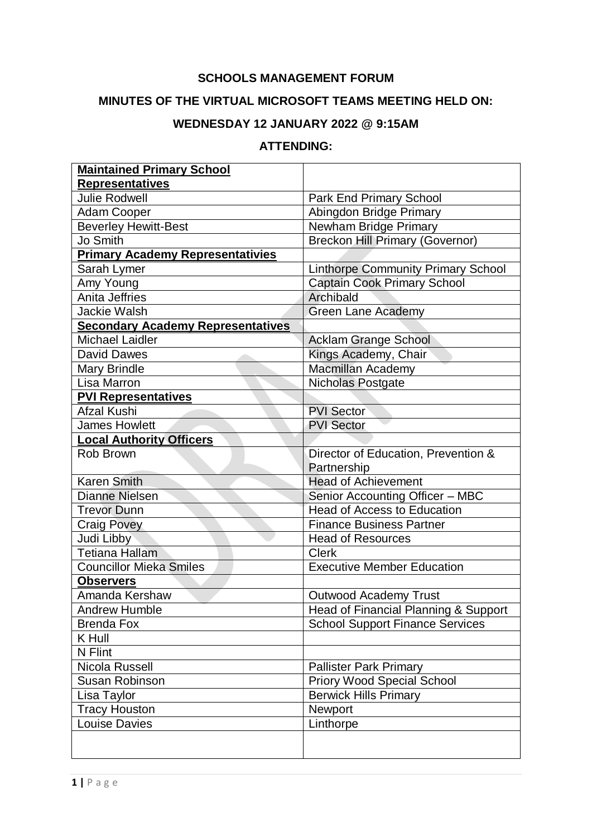#### **SCHOOLS MANAGEMENT FORUM**

### **MINUTES OF THE VIRTUAL MICROSOFT TEAMS MEETING HELD ON:**

# **WEDNESDAY 12 JANUARY 2022 @ 9:15AM**

#### **ATTENDING:**

| <b>Maintained Primary School</b>         |                                           |
|------------------------------------------|-------------------------------------------|
| <b>Representatives</b>                   |                                           |
| <b>Julie Rodwell</b>                     | <b>Park End Primary School</b>            |
| <b>Adam Cooper</b>                       | Abingdon Bridge Primary                   |
| <b>Beverley Hewitt-Best</b>              | Newham Bridge Primary                     |
| Jo Smith                                 | <b>Breckon Hill Primary (Governor)</b>    |
| <b>Primary Academy Representativies</b>  |                                           |
| Sarah Lymer                              | <b>Linthorpe Community Primary School</b> |
| Amy Young                                | Captain Cook Primary School               |
| Anita Jeffries                           | Archibald                                 |
| <b>Jackie Walsh</b>                      | <b>Green Lane Academy</b>                 |
| <b>Secondary Academy Representatives</b> |                                           |
| <b>Michael Laidler</b>                   | <b>Acklam Grange School</b>               |
| David Dawes                              | Kings Academy, Chair                      |
| <b>Mary Brindle</b>                      | <b>Macmillan Academy</b>                  |
| Lisa Marron                              | Nicholas Postgate                         |
| <b>PVI Representatives</b>               |                                           |
| Afzal Kushi                              | <b>PVI Sector</b>                         |
| <b>James Howlett</b>                     | <b>PVI Sector</b>                         |
| <b>Local Authority Officers</b>          |                                           |
| Rob Brown                                | Director of Education, Prevention &       |
|                                          | Partnership                               |
| <b>Karen Smith</b>                       | <b>Head of Achievement</b>                |
| <b>Dianne Nielsen</b>                    | Senior Accounting Officer - MBC           |
| <b>Trevor Dunn</b>                       | <b>Head of Access to Education</b>        |
| <b>Craig Povey</b>                       | <b>Finance Business Partner</b>           |
| Judi Libby                               | <b>Head of Resources</b>                  |
| <b>Tetiana Hallam</b>                    | <b>Clerk</b>                              |
| <b>Councillor Mieka Smiles</b>           | <b>Executive Member Education</b>         |
| <b>Observers</b>                         |                                           |
| Amanda Kershaw                           | <b>Outwood Academy Trust</b>              |
| <b>Andrew Humble</b>                     | Head of Financial Planning & Support      |
| <b>Brenda Fox</b>                        | <b>School Support Finance Services</b>    |
| K Hull                                   |                                           |
| N Flint                                  |                                           |
| Nicola Russell                           | <b>Pallister Park Primary</b>             |
| <b>Susan Robinson</b>                    | <b>Priory Wood Special School</b>         |
| Lisa Taylor                              | <b>Berwick Hills Primary</b>              |
| <b>Tracy Houston</b>                     | Newport                                   |
| <b>Louise Davies</b>                     | Linthorpe                                 |
|                                          |                                           |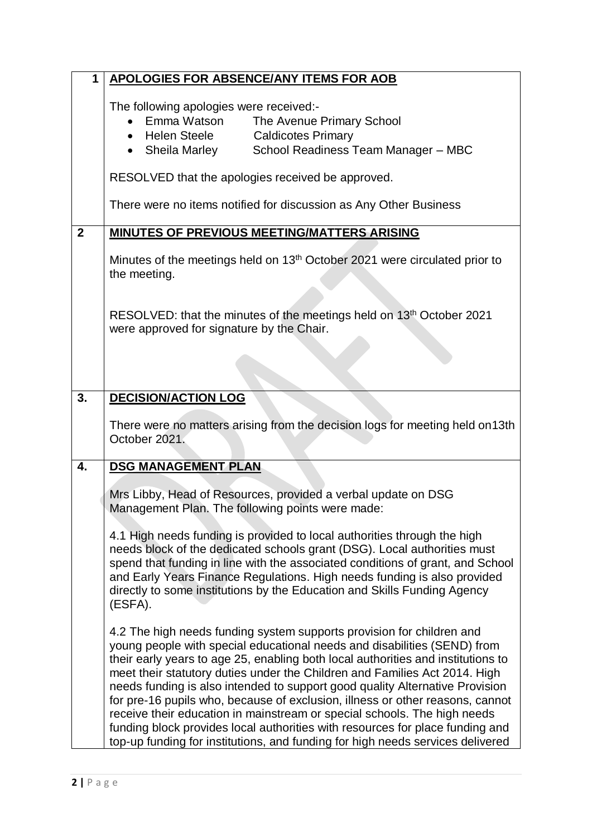| 1              | <b>APOLOGIES FOR ABSENCE/ANY ITEMS FOR AOB</b>                                                                                                                                                                                                                                                                                                                                                                                                                                                                                                                                                                                                                                                                                      |
|----------------|-------------------------------------------------------------------------------------------------------------------------------------------------------------------------------------------------------------------------------------------------------------------------------------------------------------------------------------------------------------------------------------------------------------------------------------------------------------------------------------------------------------------------------------------------------------------------------------------------------------------------------------------------------------------------------------------------------------------------------------|
|                | The following apologies were received:-<br>Emma Watson<br>The Avenue Primary School<br>Helen Steele<br><b>Caldicotes Primary</b><br>$\bullet$<br>School Readiness Team Manager - MBC<br>• Sheila Marley                                                                                                                                                                                                                                                                                                                                                                                                                                                                                                                             |
|                | RESOLVED that the apologies received be approved.                                                                                                                                                                                                                                                                                                                                                                                                                                                                                                                                                                                                                                                                                   |
|                | There were no items notified for discussion as Any Other Business                                                                                                                                                                                                                                                                                                                                                                                                                                                                                                                                                                                                                                                                   |
| $\overline{2}$ | <b>MINUTES OF PREVIOUS MEETING/MATTERS ARISING</b>                                                                                                                                                                                                                                                                                                                                                                                                                                                                                                                                                                                                                                                                                  |
|                | Minutes of the meetings held on 13 <sup>th</sup> October 2021 were circulated prior to<br>the meeting.                                                                                                                                                                                                                                                                                                                                                                                                                                                                                                                                                                                                                              |
|                | RESOLVED: that the minutes of the meetings held on 13 <sup>th</sup> October 2021<br>were approved for signature by the Chair.                                                                                                                                                                                                                                                                                                                                                                                                                                                                                                                                                                                                       |
|                |                                                                                                                                                                                                                                                                                                                                                                                                                                                                                                                                                                                                                                                                                                                                     |
| 3.             | <b>DECISION/ACTION LOG</b>                                                                                                                                                                                                                                                                                                                                                                                                                                                                                                                                                                                                                                                                                                          |
|                | There were no matters arising from the decision logs for meeting held on 13th<br>October 2021.                                                                                                                                                                                                                                                                                                                                                                                                                                                                                                                                                                                                                                      |
| 4.             | <b>DSG MANAGEMENT PLAN</b>                                                                                                                                                                                                                                                                                                                                                                                                                                                                                                                                                                                                                                                                                                          |
|                | Mrs Libby, Head of Resources, provided a verbal update on DSG<br>Management Plan. The following points were made:                                                                                                                                                                                                                                                                                                                                                                                                                                                                                                                                                                                                                   |
|                | 4.1 High needs funding is provided to local authorities through the high<br>needs block of the dedicated schools grant (DSG). Local authorities must<br>spend that funding in line with the associated conditions of grant, and School<br>and Early Years Finance Regulations. High needs funding is also provided<br>directly to some institutions by the Education and Skills Funding Agency<br>(ESFA).                                                                                                                                                                                                                                                                                                                           |
|                | 4.2 The high needs funding system supports provision for children and<br>young people with special educational needs and disabilities (SEND) from<br>their early years to age 25, enabling both local authorities and institutions to<br>meet their statutory duties under the Children and Families Act 2014. High<br>needs funding is also intended to support good quality Alternative Provision<br>for pre-16 pupils who, because of exclusion, illness or other reasons, cannot<br>receive their education in mainstream or special schools. The high needs<br>funding block provides local authorities with resources for place funding and<br>top-up funding for institutions, and funding for high needs services delivered |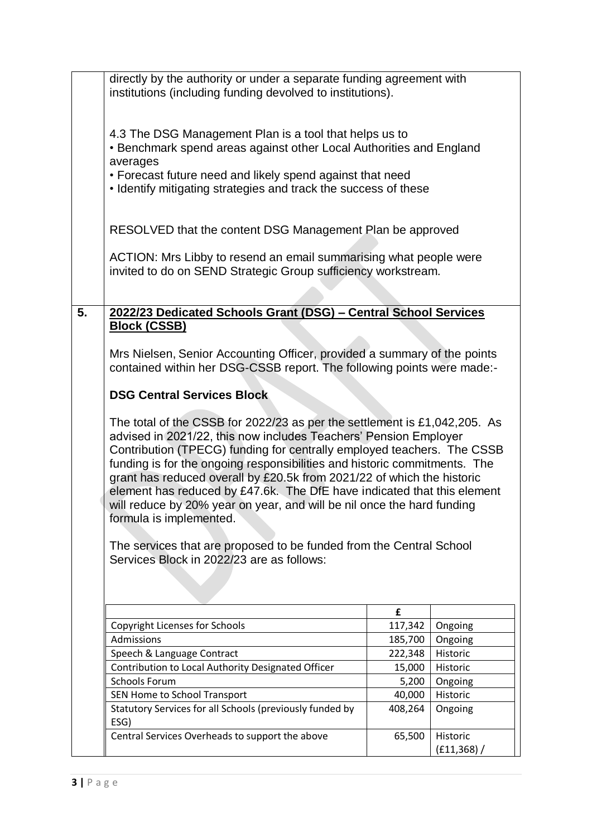|    | directly by the authority or under a separate funding agreement with<br>institutions (including funding devolved to institutions).                                                                                                                                                                                                                                                                                                                                                                                                                                                                                                                                                                                                                                                                                                                                                                                                                                         |                 |                          |
|----|----------------------------------------------------------------------------------------------------------------------------------------------------------------------------------------------------------------------------------------------------------------------------------------------------------------------------------------------------------------------------------------------------------------------------------------------------------------------------------------------------------------------------------------------------------------------------------------------------------------------------------------------------------------------------------------------------------------------------------------------------------------------------------------------------------------------------------------------------------------------------------------------------------------------------------------------------------------------------|-----------------|--------------------------|
|    | 4.3 The DSG Management Plan is a tool that helps us to<br>• Benchmark spend areas against other Local Authorities and England<br>averages<br>• Forecast future need and likely spend against that need<br>• Identify mitigating strategies and track the success of these                                                                                                                                                                                                                                                                                                                                                                                                                                                                                                                                                                                                                                                                                                  |                 |                          |
|    | RESOLVED that the content DSG Management Plan be approved<br>ACTION: Mrs Libby to resend an email summarising what people were<br>invited to do on SEND Strategic Group sufficiency workstream.                                                                                                                                                                                                                                                                                                                                                                                                                                                                                                                                                                                                                                                                                                                                                                            |                 |                          |
|    |                                                                                                                                                                                                                                                                                                                                                                                                                                                                                                                                                                                                                                                                                                                                                                                                                                                                                                                                                                            |                 |                          |
| 5. | 2022/23 Dedicated Schools Grant (DSG) - Central School Services<br><b>Block (CSSB)</b><br>Mrs Nielsen, Senior Accounting Officer, provided a summary of the points<br>contained within her DSG-CSSB report. The following points were made:-<br><b>DSG Central Services Block</b><br>The total of the CSSB for 2022/23 as per the settlement is $£1,042,205$ . As<br>advised in 2021/22, this now includes Teachers' Pension Employer<br>Contribution (TPECG) funding for centrally employed teachers. The CSSB<br>funding is for the ongoing responsibilities and historic commitments. The<br>grant has reduced overall by £20.5k from 2021/22 of which the historic<br>element has reduced by £47.6k. The DfE have indicated that this element<br>will reduce by 20% year on year, and will be nil once the hard funding<br>formula is implemented.<br>The services that are proposed to be funded from the Central School<br>Services Block in 2022/23 are as follows: |                 |                          |
|    |                                                                                                                                                                                                                                                                                                                                                                                                                                                                                                                                                                                                                                                                                                                                                                                                                                                                                                                                                                            |                 |                          |
|    |                                                                                                                                                                                                                                                                                                                                                                                                                                                                                                                                                                                                                                                                                                                                                                                                                                                                                                                                                                            | £               |                          |
|    | <b>Copyright Licenses for Schools</b><br>Admissions                                                                                                                                                                                                                                                                                                                                                                                                                                                                                                                                                                                                                                                                                                                                                                                                                                                                                                                        | 117,342         | Ongoing                  |
|    | Speech & Language Contract                                                                                                                                                                                                                                                                                                                                                                                                                                                                                                                                                                                                                                                                                                                                                                                                                                                                                                                                                 | 185,700         | Ongoing<br>Historic      |
|    | Contribution to Local Authority Designated Officer                                                                                                                                                                                                                                                                                                                                                                                                                                                                                                                                                                                                                                                                                                                                                                                                                                                                                                                         | 222,348         | Historic                 |
|    | <b>Schools Forum</b>                                                                                                                                                                                                                                                                                                                                                                                                                                                                                                                                                                                                                                                                                                                                                                                                                                                                                                                                                       | 15,000<br>5,200 |                          |
|    |                                                                                                                                                                                                                                                                                                                                                                                                                                                                                                                                                                                                                                                                                                                                                                                                                                                                                                                                                                            |                 | Ongoing                  |
|    | SEN Home to School Transport                                                                                                                                                                                                                                                                                                                                                                                                                                                                                                                                                                                                                                                                                                                                                                                                                                                                                                                                               | 40,000          | Historic                 |
|    | Statutory Services for all Schools (previously funded by<br>ESG)                                                                                                                                                                                                                                                                                                                                                                                                                                                                                                                                                                                                                                                                                                                                                                                                                                                                                                           | 408,264         | Ongoing                  |
|    | Central Services Overheads to support the above                                                                                                                                                                                                                                                                                                                                                                                                                                                                                                                                                                                                                                                                                                                                                                                                                                                                                                                            | 65,500          | Historic<br>(E11, 368) / |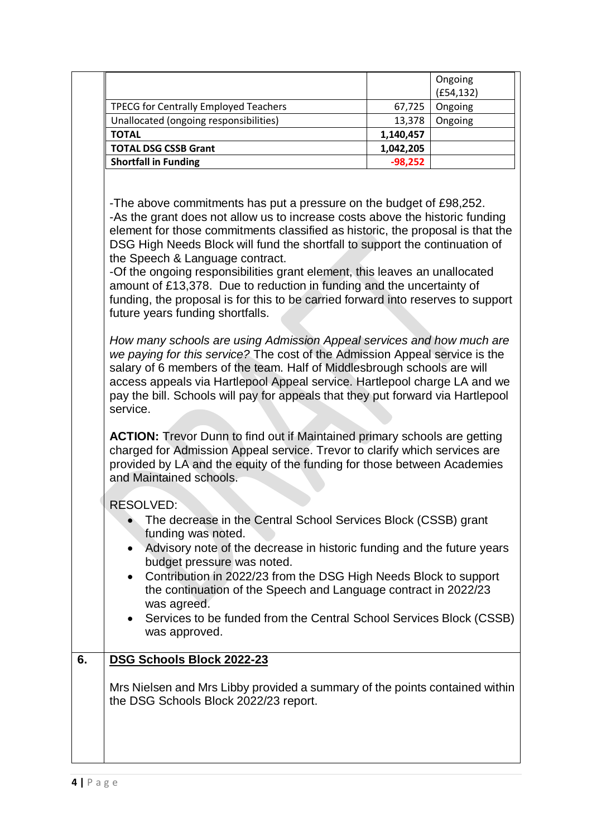- Contribution in 2022/23 from the DSG High Needs Block to support the continuation of the Speech and Language contract in 2022/23 was agreed.
- Services to be funded from the Central School Services Block (CSSB) was approved.

# **6. DSG Schools Block 2022-23**

Mrs Nielsen and Mrs Libby provided a summary of the points contained within the DSG Schools Block 2022/23 report.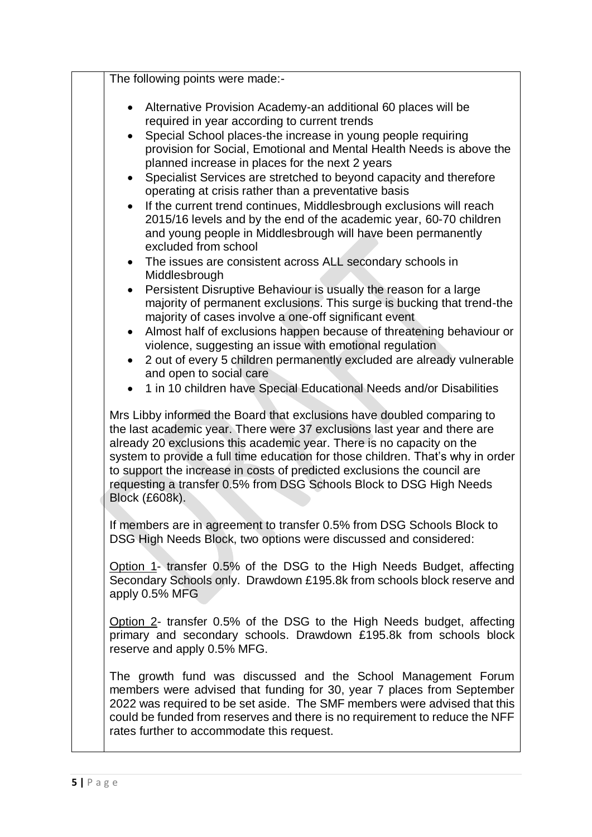| The following points were made:-                                                                                                                                                                                                                                                                                                                                                                                                                                                                                                                                                                                                                                                                                                |
|---------------------------------------------------------------------------------------------------------------------------------------------------------------------------------------------------------------------------------------------------------------------------------------------------------------------------------------------------------------------------------------------------------------------------------------------------------------------------------------------------------------------------------------------------------------------------------------------------------------------------------------------------------------------------------------------------------------------------------|
| Alternative Provision Academy-an additional 60 places will be<br>$\bullet$<br>required in year according to current trends<br>Special School places-the increase in young people requiring<br>$\bullet$<br>provision for Social, Emotional and Mental Health Needs is above the<br>planned increase in places for the next 2 years<br>Specialist Services are stretched to beyond capacity and therefore<br>$\bullet$<br>operating at crisis rather than a preventative basis<br>If the current trend continues, Middlesbrough exclusions will reach<br>$\bullet$<br>2015/16 levels and by the end of the academic year, 60-70 children<br>and young people in Middlesbrough will have been permanently<br>excluded from school |
| The issues are consistent across ALL secondary schools in<br>$\bullet$<br>Middlesbrough<br>Persistent Disruptive Behaviour is usually the reason for a large<br>$\bullet$<br>majority of permanent exclusions. This surge is bucking that trend-the<br>majority of cases involve a one-off significant event<br>Almost half of exclusions happen because of threatening behaviour or<br>violence, suggesting an issue with emotional regulation<br>2 out of every 5 children permanently excluded are already vulnerable<br>$\bullet$<br>and open to social care<br>1 in 10 children have Special Educational Needs and/or Disabilities                                                                                         |
| Mrs Libby informed the Board that exclusions have doubled comparing to<br>the last academic year. There were 37 exclusions last year and there are<br>already 20 exclusions this academic year. There is no capacity on the<br>system to provide a full time education for those children. That's why in order<br>to support the increase in costs of predicted exclusions the council are<br>requesting a transfer 0.5% from DSG Schools Block to DSG High Needs<br>Block (£608k).                                                                                                                                                                                                                                             |
| If members are in agreement to transfer 0.5% from DSG Schools Block to<br>DSG High Needs Block, two options were discussed and considered:                                                                                                                                                                                                                                                                                                                                                                                                                                                                                                                                                                                      |
| Option 1- transfer 0.5% of the DSG to the High Needs Budget, affecting<br>Secondary Schools only. Drawdown £195.8k from schools block reserve and<br>apply 0.5% MFG                                                                                                                                                                                                                                                                                                                                                                                                                                                                                                                                                             |
| Option 2- transfer 0.5% of the DSG to the High Needs budget, affecting<br>primary and secondary schools. Drawdown £195.8k from schools block<br>reserve and apply 0.5% MFG.                                                                                                                                                                                                                                                                                                                                                                                                                                                                                                                                                     |
| The growth fund was discussed and the School Management Forum<br>members were advised that funding for 30, year 7 places from September<br>2022 was required to be set aside. The SMF members were advised that this<br>could be funded from reserves and there is no requirement to reduce the NFF<br>rates further to accommodate this request.                                                                                                                                                                                                                                                                                                                                                                               |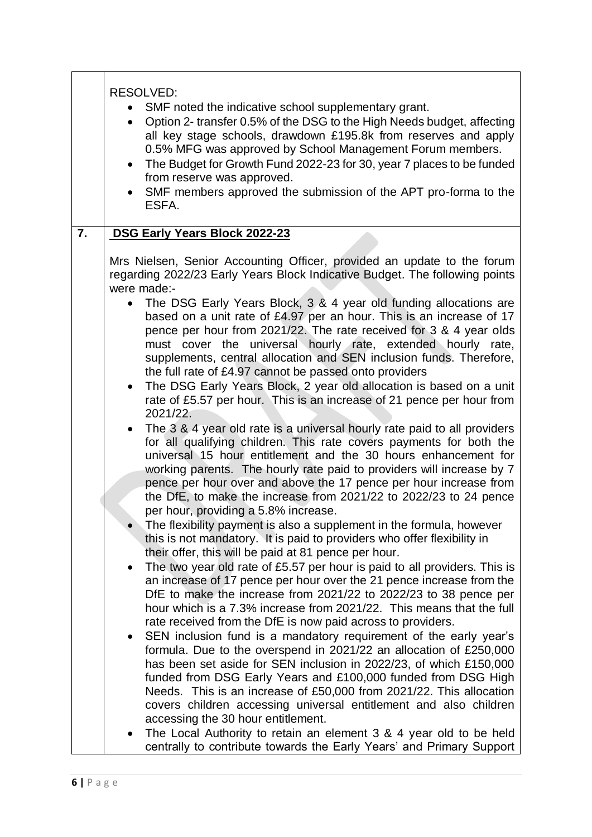|    | <b>RESOLVED:</b><br>SMF noted the indicative school supplementary grant.<br>Option 2- transfer 0.5% of the DSG to the High Needs budget, affecting<br>$\bullet$<br>all key stage schools, drawdown £195.8k from reserves and apply<br>0.5% MFG was approved by School Management Forum members.<br>The Budget for Growth Fund 2022-23 for 30, year 7 places to be funded<br>from reserve was approved.<br>SMF members approved the submission of the APT pro-forma to the<br>ESFA. |
|----|------------------------------------------------------------------------------------------------------------------------------------------------------------------------------------------------------------------------------------------------------------------------------------------------------------------------------------------------------------------------------------------------------------------------------------------------------------------------------------|
| 7. | DSG Early Years Block 2022-23                                                                                                                                                                                                                                                                                                                                                                                                                                                      |
|    | Mrs Nielsen, Senior Accounting Officer, provided an update to the forum<br>regarding 2022/23 Early Years Block Indicative Budget. The following points<br>were made:-<br>The DSG Early Years Block, 3 & 4 year old funding allocations are<br>based on a unit rate of £4.97 per an hour. This is an increase of 17                                                                                                                                                                 |
|    | pence per hour from 2021/22. The rate received for 3 & 4 year olds<br>must cover the universal hourly rate, extended hourly rate,<br>supplements, central allocation and SEN inclusion funds. Therefore,<br>the full rate of £4.97 cannot be passed onto providers                                                                                                                                                                                                                 |
|    | The DSG Early Years Block, 2 year old allocation is based on a unit<br>rate of £5.57 per hour. This is an increase of 21 pence per hour from<br>2021/22.                                                                                                                                                                                                                                                                                                                           |
|    | The 3 & 4 year old rate is a universal hourly rate paid to all providers<br>for all qualifying children. This rate covers payments for both the<br>universal 15 hour entitlement and the 30 hours enhancement for<br>working parents. The hourly rate paid to providers will increase by 7<br>pence per hour over and above the 17 pence per hour increase from                                                                                                                    |
|    | the DfE, to make the increase from 2021/22 to 2022/23 to 24 pence<br>per hour, providing a 5.8% increase.                                                                                                                                                                                                                                                                                                                                                                          |
|    | The flexibility payment is also a supplement in the formula, however<br>this is not mandatory. It is paid to providers who offer flexibility in<br>their offer, this will be paid at 81 pence per hour.                                                                                                                                                                                                                                                                            |
|    | The two year old rate of £5.57 per hour is paid to all providers. This is<br>an increase of 17 pence per hour over the 21 pence increase from the<br>DfE to make the increase from 2021/22 to 2022/23 to 38 pence per<br>hour which is a 7.3% increase from 2021/22. This means that the full<br>rate received from the DfE is now paid across to providers.                                                                                                                       |
|    | SEN inclusion fund is a mandatory requirement of the early year's<br>formula. Due to the overspend in 2021/22 an allocation of £250,000<br>has been set aside for SEN inclusion in 2022/23, of which £150,000<br>funded from DSG Early Years and £100,000 funded from DSG High<br>Needs. This is an increase of £50,000 from 2021/22. This allocation                                                                                                                              |
|    | covers children accessing universal entitlement and also children<br>accessing the 30 hour entitlement.                                                                                                                                                                                                                                                                                                                                                                            |
|    | The Local Authority to retain an element 3 & 4 year old to be held<br>centrally to contribute towards the Early Years' and Primary Support                                                                                                                                                                                                                                                                                                                                         |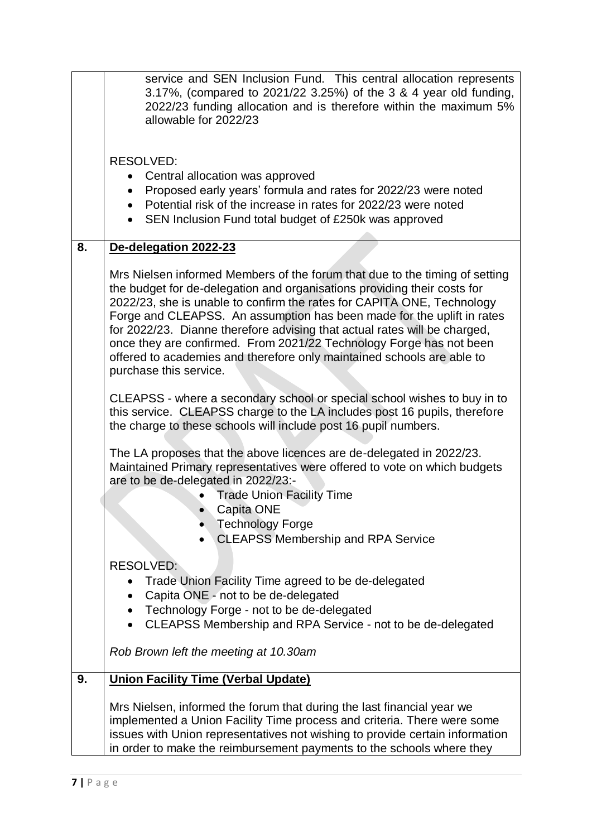|    | service and SEN Inclusion Fund. This central allocation represents<br>3.17%, (compared to 2021/22 3.25%) of the 3 & 4 year old funding,<br>2022/23 funding allocation and is therefore within the maximum 5%<br>allowable for 2022/23                                                                                                                                                                                                                                                                                                                               |
|----|---------------------------------------------------------------------------------------------------------------------------------------------------------------------------------------------------------------------------------------------------------------------------------------------------------------------------------------------------------------------------------------------------------------------------------------------------------------------------------------------------------------------------------------------------------------------|
|    | <b>RESOLVED:</b><br>• Central allocation was approved                                                                                                                                                                                                                                                                                                                                                                                                                                                                                                               |
|    | Proposed early years' formula and rates for 2022/23 were noted<br>Potential risk of the increase in rates for 2022/23 were noted<br>SEN Inclusion Fund total budget of £250k was approved                                                                                                                                                                                                                                                                                                                                                                           |
| 8. | De-delegation 2022-23                                                                                                                                                                                                                                                                                                                                                                                                                                                                                                                                               |
|    | Mrs Nielsen informed Members of the forum that due to the timing of setting<br>the budget for de-delegation and organisations providing their costs for<br>2022/23, she is unable to confirm the rates for CAPITA ONE, Technology<br>Forge and CLEAPSS. An assumption has been made for the uplift in rates<br>for 2022/23. Dianne therefore advising that actual rates will be charged,<br>once they are confirmed. From 2021/22 Technology Forge has not been<br>offered to academies and therefore only maintained schools are able to<br>purchase this service. |
|    | CLEAPSS - where a secondary school or special school wishes to buy in to<br>this service. CLEAPSS charge to the LA includes post 16 pupils, therefore<br>the charge to these schools will include post 16 pupil numbers.                                                                                                                                                                                                                                                                                                                                            |
|    | The LA proposes that the above licences are de-delegated in 2022/23.<br>Maintained Primary representatives were offered to vote on which budgets<br>are to be de-delegated in 2022/23:-<br><b>Trade Union Facility Time</b><br>Capita ONE<br><b>Technology Forge</b><br><b>CLEAPSS Membership and RPA Service</b>                                                                                                                                                                                                                                                   |
|    | <b>RESOLVED:</b>                                                                                                                                                                                                                                                                                                                                                                                                                                                                                                                                                    |
|    | Trade Union Facility Time agreed to be de-delegated<br>Capita ONE - not to be de-delegated                                                                                                                                                                                                                                                                                                                                                                                                                                                                          |
|    | Technology Forge - not to be de-delegated<br>CLEAPSS Membership and RPA Service - not to be de-delegated                                                                                                                                                                                                                                                                                                                                                                                                                                                            |
|    | Rob Brown left the meeting at 10.30am                                                                                                                                                                                                                                                                                                                                                                                                                                                                                                                               |
| 9. | <b>Union Facility Time (Verbal Update)</b>                                                                                                                                                                                                                                                                                                                                                                                                                                                                                                                          |
|    | Mrs Nielsen, informed the forum that during the last financial year we<br>implemented a Union Facility Time process and criteria. There were some<br>issues with Union representatives not wishing to provide certain information<br>in order to make the reimbursement payments to the schools where they                                                                                                                                                                                                                                                          |